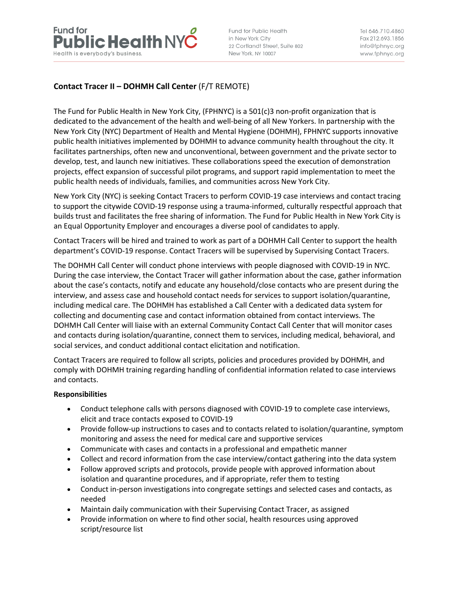

Fund for Public Health in New York City 22 Cortlandt Street, Suite 802 New York, NY 10007

Tel 646.710.4860 Fax 212,693,1856 info@fphnyc.org www.fphnyc.org

# **Contact Tracer II – DOHMH Call Center** (F/T REMOTE)

The Fund for Public Health in New York City, (FPHNYC) is a 501(c)3 non-profit organization that is dedicated to the advancement of the health and well-being of all New Yorkers. In partnership with the New York City (NYC) Department of Health and Mental Hygiene (DOHMH), FPHNYC supports innovative public health initiatives implemented by DOHMH to advance community health throughout the city. It facilitates partnerships, often new and unconventional, between government and the private sector to develop, test, and launch new initiatives. These collaborations speed the execution of demonstration projects, effect expansion of successful pilot programs, and support rapid implementation to meet the public health needs of individuals, families, and communities across New York City.

New York City (NYC) is seeking Contact Tracers to perform COVID-19 case interviews and contact tracing to support the citywide COVID-19 response using a trauma-informed, culturally respectful approach that builds trust and facilitates the free sharing of information. The Fund for Public Health in New York City is an Equal Opportunity Employer and encourages a diverse pool of candidates to apply.

Contact Tracers will be hired and trained to work as part of a DOHMH Call Center to support the health department's COVID-19 response. Contact Tracers will be supervised by Supervising Contact Tracers.

The DOHMH Call Center will conduct phone interviews with people diagnosed with COVID-19 in NYC. During the case interview, the Contact Tracer will gather information about the case, gather information about the case's contacts, notify and educate any household/close contacts who are present during the interview, and assess case and household contact needs for services to support isolation/quarantine, including medical care. The DOHMH has established a Call Center with a dedicated data system for collecting and documenting case and contact information obtained from contact interviews. The DOHMH Call Center will liaise with an external Community Contact Call Center that will monitor cases and contacts during isolation/quarantine, connect them to services, including medical, behavioral, and social services, and conduct additional contact elicitation and notification.

Contact Tracers are required to follow all scripts, policies and procedures provided by DOHMH, and comply with DOHMH training regarding handling of confidential information related to case interviews and contacts.

### **Responsibilities**

- Conduct telephone calls with persons diagnosed with COVID-19 to complete case interviews, elicit and trace contacts exposed to COVID-19
- Provide follow-up instructions to cases and to contacts related to isolation/quarantine, symptom monitoring and assess the need for medical care and supportive services
- Communicate with cases and contacts in a professional and empathetic manner
- Collect and record information from the case interview/contact gathering into the data system
- Follow approved scripts and protocols, provide people with approved information about isolation and quarantine procedures, and if appropriate, refer them to testing
- Conduct in-person investigations into congregate settings and selected cases and contacts, as needed
- Maintain daily communication with their Supervising Contact Tracer, as assigned
- Provide information on where to find other social, health resources using approved script/resource list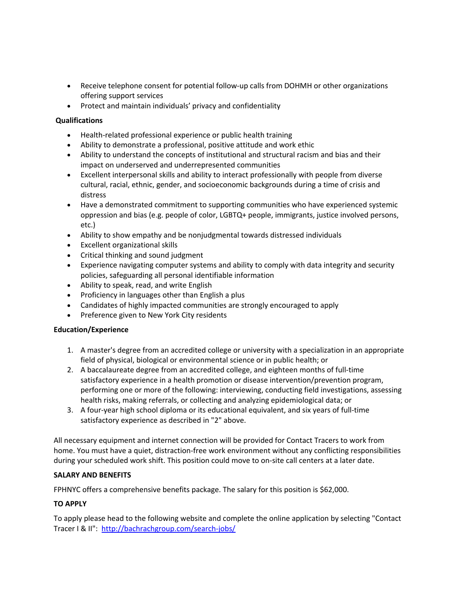- Receive telephone consent for potential follow-up calls from DOHMH or other organizations offering support services
- Protect and maintain individuals' privacy and confidentiality

# **Qualifications**

- Health-related professional experience or public health training
- Ability to demonstrate a professional, positive attitude and work ethic
- Ability to understand the concepts of institutional and structural racism and bias and their impact on underserved and underrepresented communities
- Excellent interpersonal skills and ability to interact professionally with people from diverse cultural, racial, ethnic, gender, and socioeconomic backgrounds during a time of crisis and distress
- Have a demonstrated commitment to supporting communities who have experienced systemic oppression and bias (e.g. people of color, LGBTQ+ people, immigrants, justice involved persons, etc.)
- Ability to show empathy and be nonjudgmental towards distressed individuals
- Excellent organizational skills
- Critical thinking and sound judgment
- Experience navigating computer systems and ability to comply with data integrity and security policies, safeguarding all personal identifiable information
- Ability to speak, read, and write English
- Proficiency in languages other than English a plus
- Candidates of highly impacted communities are strongly encouraged to apply
- Preference given to New York City residents

### **Education/Experience**

- 1. A master's degree from an accredited college or university with a specialization in an appropriate field of physical, biological or environmental science or in public health; or
- 2. A baccalaureate degree from an accredited college, and eighteen months of full-time satisfactory experience in a health promotion or disease intervention/prevention program, performing one or more of the following: interviewing, conducting field investigations, assessing health risks, making referrals, or collecting and analyzing epidemiological data; or
- 3. A four-year high school diploma or its educational equivalent, and six years of full-time satisfactory experience as described in "2" above.

All necessary equipment and internet connection will be provided for Contact Tracers to work from home. You must have a quiet, distraction-free work environment without any conflicting responsibilities during your scheduled work shift. This position could move to on-site call centers at a later date.

### **SALARY AND BENEFITS**

FPHNYC offers a comprehensive benefits package. The salary for this position is \$62,000.

# **TO APPLY**

To apply please head to the following website and complete the online application by selecting "Contact Tracer I & II": http://bachrachgroup.com/search-jobs/